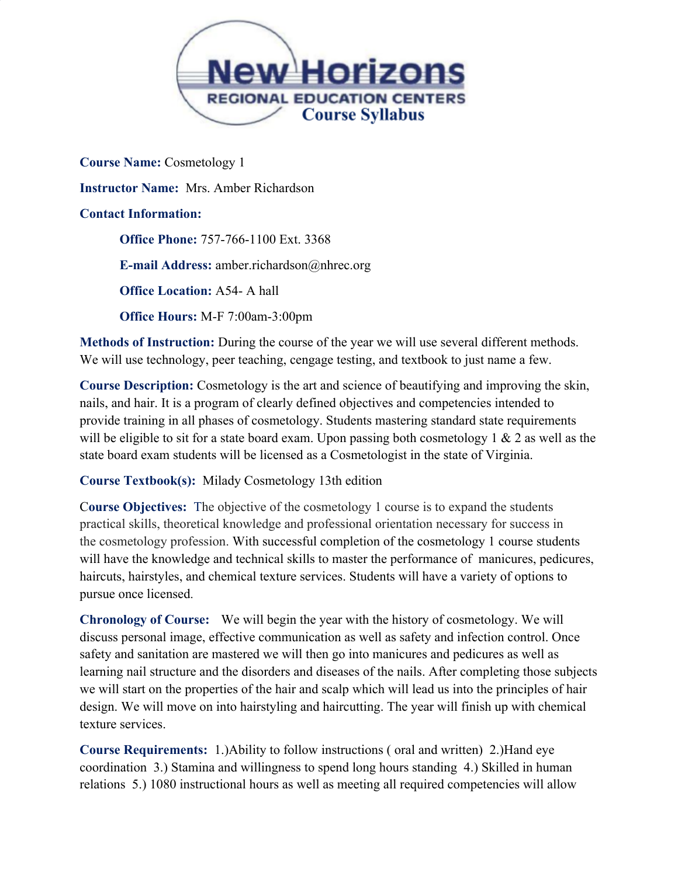

**Course Name:** Cosmetology 1 **Instructor Name:** Mrs. Amber Richardson **Contact Information: Office Phone:** 757-766-1100 Ext. 3368 **E-mail Address:** amber.richardson@nhrec.org **Office Location:** A54- A hall **Office Hours:** M-F 7:00am-3:00pm

**Methods of Instruction:** During the course of the year we will use several different methods. We will use technology, peer teaching, cengage testing, and textbook to just name a few.

**Course Description:** Cosmetology is the art and science of beautifying and improving the skin, nails, and hair. It is a program of clearly defined objectives and competencies intended to provide training in all phases of cosmetology. Students mastering standard state requirements will be eligible to sit for a state board exam. Upon passing both cosmetology 1  $\&$  2 as well as the state board exam students will be licensed as a Cosmetologist in the state of Virginia.

**Course Textbook(s):** Milady Cosmetology 13th edition

C**ourse Objectives:** The objective of the cosmetology 1 course is to expand the students practical skills, theoretical knowledge and professional orientation necessary for success in the cosmetology profession. With successful completion of the cosmetology 1 course students will have the knowledge and technical skills to master the performance of manicures, pedicures, haircuts, hairstyles, and chemical texture services. Students will have a variety of options to pursue once licensed.

**Chronology of Course:** We will begin the year with the history of cosmetology. We will discuss personal image, effective communication as well as safety and infection control. Once safety and sanitation are mastered we will then go into manicures and pedicures as well as learning nail structure and the disorders and diseases of the nails. After completing those subjects we will start on the properties of the hair and scalp which will lead us into the principles of hair design. We will move on into hairstyling and haircutting. The year will finish up with chemical texture services.

**Course Requirements:** 1.)Ability to follow instructions ( oral and written) 2.)Hand eye coordination 3.) Stamina and willingness to spend long hours standing 4.) Skilled in human relations 5.) 1080 instructional hours as well as meeting all required competencies will allow